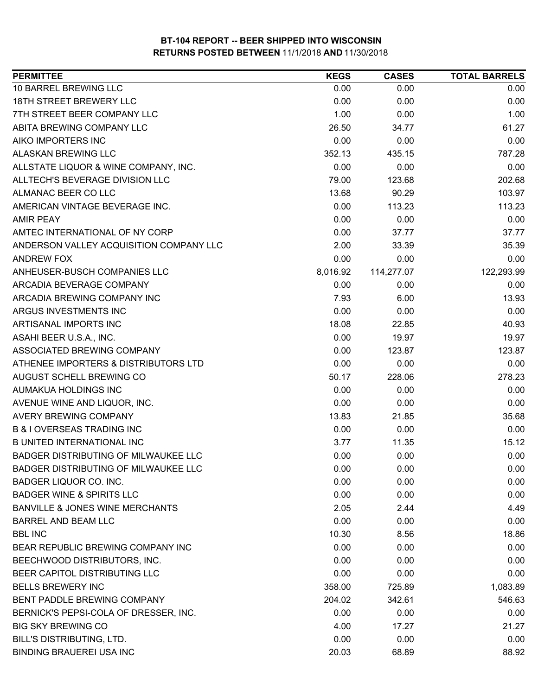| <b>PERMITTEE</b>                            | <b>KEGS</b> | <b>CASES</b> | <b>TOTAL BARRELS</b> |
|---------------------------------------------|-------------|--------------|----------------------|
| 10 BARREL BREWING LLC                       | 0.00        | 0.00         | 0.00                 |
| 18TH STREET BREWERY LLC                     | 0.00        | 0.00         | 0.00                 |
| 7TH STREET BEER COMPANY LLC                 | 1.00        | 0.00         | 1.00                 |
| ABITA BREWING COMPANY LLC                   | 26.50       | 34.77        | 61.27                |
| AIKO IMPORTERS INC                          | 0.00        | 0.00         | 0.00                 |
| ALASKAN BREWING LLC                         | 352.13      | 435.15       | 787.28               |
| ALLSTATE LIQUOR & WINE COMPANY, INC.        | 0.00        | 0.00         | 0.00                 |
| ALLTECH'S BEVERAGE DIVISION LLC             | 79.00       | 123.68       | 202.68               |
| ALMANAC BEER CO LLC                         | 13.68       | 90.29        | 103.97               |
| AMERICAN VINTAGE BEVERAGE INC.              | 0.00        | 113.23       | 113.23               |
| <b>AMIR PEAY</b>                            | 0.00        | 0.00         | 0.00                 |
| AMTEC INTERNATIONAL OF NY CORP              | 0.00        | 37.77        | 37.77                |
| ANDERSON VALLEY ACQUISITION COMPANY LLC     | 2.00        | 33.39        | 35.39                |
| <b>ANDREW FOX</b>                           | 0.00        | 0.00         | 0.00                 |
| ANHEUSER-BUSCH COMPANIES LLC                | 8,016.92    | 114,277.07   | 122,293.99           |
| ARCADIA BEVERAGE COMPANY                    | 0.00        | 0.00         | 0.00                 |
| ARCADIA BREWING COMPANY INC                 | 7.93        | 6.00         | 13.93                |
| ARGUS INVESTMENTS INC                       | 0.00        | 0.00         | 0.00                 |
| ARTISANAL IMPORTS INC                       | 18.08       | 22.85        | 40.93                |
| ASAHI BEER U.S.A., INC.                     | 0.00        | 19.97        | 19.97                |
| ASSOCIATED BREWING COMPANY                  | 0.00        | 123.87       | 123.87               |
| ATHENEE IMPORTERS & DISTRIBUTORS LTD        | 0.00        | 0.00         | 0.00                 |
| AUGUST SCHELL BREWING CO                    | 50.17       | 228.06       | 278.23               |
| AUMAKUA HOLDINGS INC                        | 0.00        | 0.00         | 0.00                 |
| AVENUE WINE AND LIQUOR, INC.                | 0.00        | 0.00         | 0.00                 |
| AVERY BREWING COMPANY                       | 13.83       | 21.85        | 35.68                |
| <b>B &amp; I OVERSEAS TRADING INC</b>       | 0.00        | 0.00         | 0.00                 |
| <b>B UNITED INTERNATIONAL INC</b>           | 3.77        | 11.35        | 15.12                |
| <b>BADGER DISTRIBUTING OF MILWAUKEE LLC</b> | 0.00        | 0.00         | 0.00                 |
| BADGER DISTRIBUTING OF MILWAUKEE LLC        | 0.00        | 0.00         | 0.00                 |
| <b>BADGER LIQUOR CO. INC.</b>               | 0.00        | 0.00         | 0.00                 |
| <b>BADGER WINE &amp; SPIRITS LLC</b>        | 0.00        | 0.00         | 0.00                 |
| <b>BANVILLE &amp; JONES WINE MERCHANTS</b>  | 2.05        | 2.44         | 4.49                 |
| <b>BARREL AND BEAM LLC</b>                  | 0.00        | 0.00         | 0.00                 |
| <b>BBL INC</b>                              | 10.30       | 8.56         | 18.86                |
| BEAR REPUBLIC BREWING COMPANY INC           | 0.00        | 0.00         | 0.00                 |
| BEECHWOOD DISTRIBUTORS, INC.                | 0.00        | 0.00         | 0.00                 |
| BEER CAPITOL DISTRIBUTING LLC               | 0.00        | 0.00         | 0.00                 |
| <b>BELLS BREWERY INC</b>                    | 358.00      | 725.89       | 1,083.89             |
| BENT PADDLE BREWING COMPANY                 | 204.02      | 342.61       | 546.63               |
| BERNICK'S PEPSI-COLA OF DRESSER, INC.       | 0.00        | 0.00         | 0.00                 |
| <b>BIG SKY BREWING CO</b>                   | 4.00        | 17.27        | 21.27                |
| BILL'S DISTRIBUTING, LTD.                   | 0.00        | 0.00         | 0.00                 |
| <b>BINDING BRAUEREI USA INC</b>             | 20.03       | 68.89        | 88.92                |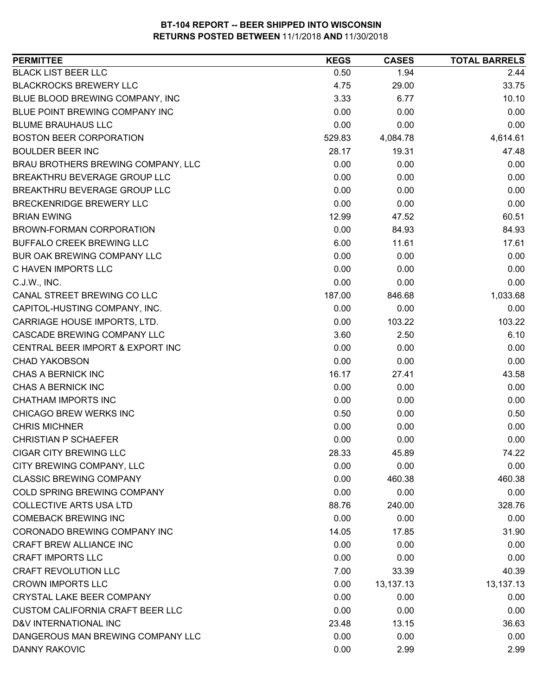| <b>PERMITTEE</b>                        | <b>KEGS</b> | <b>CASES</b> | <b>TOTAL BARRELS</b> |
|-----------------------------------------|-------------|--------------|----------------------|
| <b>BLACK LIST BEER LLC</b>              | 0.50        | 1.94         | 2.44                 |
| <b>BLACKROCKS BREWERY LLC</b>           | 4.75        | 29.00        | 33.75                |
| BLUE BLOOD BREWING COMPANY, INC         | 3.33        | 6.77         | 10.10                |
| BLUE POINT BREWING COMPANY INC          | 0.00        | 0.00         | 0.00                 |
| <b>BLUME BRAUHAUS LLC</b>               | 0.00        | 0.00         | 0.00                 |
| <b>BOSTON BEER CORPORATION</b>          | 529.83      | 4,084.78     | 4,614.61             |
| <b>BOULDER BEER INC</b>                 | 28.17       | 19.31        | 47.48                |
| BRAU BROTHERS BREWING COMPANY, LLC      | 0.00        | 0.00         | 0.00                 |
| BREAKTHRU BEVERAGE GROUP LLC            | 0.00        | 0.00         | 0.00                 |
| BREAKTHRU BEVERAGE GROUP LLC            | 0.00        | 0.00         | 0.00                 |
| BRECKENRIDGE BREWERY LLC                | 0.00        | 0.00         | 0.00                 |
| <b>BRIAN EWING</b>                      | 12.99       | 47.52        | 60.51                |
| BROWN-FORMAN CORPORATION                | 0.00        | 84.93        | 84.93                |
| BUFFALO CREEK BREWING LLC               | 6.00        | 11.61        | 17.61                |
| BUR OAK BREWING COMPANY LLC             | 0.00        | 0.00         | 0.00                 |
| C HAVEN IMPORTS LLC                     | 0.00        | 0.00         | 0.00                 |
| C.J.W., INC.                            | 0.00        | 0.00         | 0.00                 |
| CANAL STREET BREWING CO LLC             | 187.00      | 846.68       | 1,033.68             |
| CAPITOL-HUSTING COMPANY, INC.           | 0.00        | 0.00         | 0.00                 |
| CARRIAGE HOUSE IMPORTS, LTD.            | 0.00        | 103.22       | 103.22               |
| CASCADE BREWING COMPANY LLC             | 3.60        | 2.50         | 6.10                 |
| CENTRAL BEER IMPORT & EXPORT INC        | 0.00        | 0.00         | 0.00                 |
| <b>CHAD YAKOBSON</b>                    | 0.00        | 0.00         | 0.00                 |
| CHAS A BERNICK INC                      | 16.17       | 27.41        | 43.58                |
| CHAS A BERNICK INC                      | 0.00        | 0.00         | 0.00                 |
| <b>CHATHAM IMPORTS INC</b>              | 0.00        | 0.00         | 0.00                 |
| CHICAGO BREW WERKS INC                  | 0.50        | 0.00         | 0.50                 |
| <b>CHRIS MICHNER</b>                    | 0.00        | 0.00         | 0.00                 |
| <b>CHRISTIAN P SCHAEFER</b>             | 0.00        | 0.00         | 0.00                 |
| <b>CIGAR CITY BREWING LLC</b>           | 28.33       | 45.89        | 74.22                |
| CITY BREWING COMPANY, LLC               | 0.00        | 0.00         | 0.00                 |
| <b>CLASSIC BREWING COMPANY</b>          | 0.00        | 460.38       | 460.38               |
| COLD SPRING BREWING COMPANY             | 0.00        | 0.00         | 0.00                 |
| <b>COLLECTIVE ARTS USA LTD</b>          | 88.76       | 240.00       | 328.76               |
| <b>COMEBACK BREWING INC</b>             | 0.00        | 0.00         | 0.00                 |
| CORONADO BREWING COMPANY INC            | 14.05       | 17.85        | 31.90                |
| CRAFT BREW ALLIANCE INC                 | 0.00        | 0.00         | 0.00                 |
| <b>CRAFT IMPORTS LLC</b>                | 0.00        | 0.00         | 0.00                 |
| <b>CRAFT REVOLUTION LLC</b>             | 7.00        | 33.39        | 40.39                |
| <b>CROWN IMPORTS LLC</b>                | 0.00        | 13,137.13    | 13,137.13            |
| <b>CRYSTAL LAKE BEER COMPANY</b>        | 0.00        | 0.00         | 0.00                 |
| <b>CUSTOM CALIFORNIA CRAFT BEER LLC</b> | 0.00        | 0.00         | 0.00                 |
| D&V INTERNATIONAL INC                   | 23.48       | 13.15        | 36.63                |
| DANGEROUS MAN BREWING COMPANY LLC       | 0.00        | 0.00         | 0.00                 |
| <b>DANNY RAKOVIC</b>                    | 0.00        | 2.99         | 2.99                 |
|                                         |             |              |                      |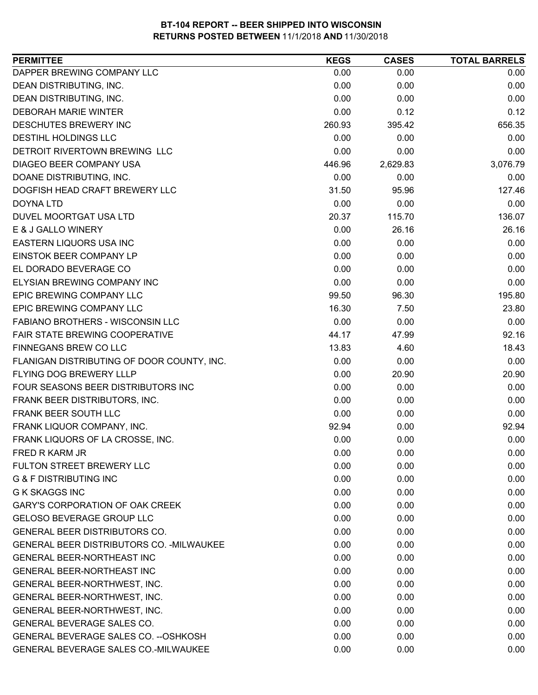| DAPPER BREWING COMPANY LLC<br>0.00<br>0.00<br>0.00<br>DEAN DISTRIBUTING, INC.<br>0.00<br>0.00<br>0.00<br>DEAN DISTRIBUTING, INC.<br>0.00<br>0.00<br>0.00<br>0.00<br><b>DEBORAH MARIE WINTER</b><br>0.12<br>0.12<br>DESCHUTES BREWERY INC<br>260.93<br>656.35<br>395.42<br>DESTIHL HOLDINGS LLC<br>0.00<br>0.00<br>0.00<br>DETROIT RIVERTOWN BREWING LLC<br>0.00<br>0.00<br>0.00<br><b>DIAGEO BEER COMPANY USA</b><br>446.96<br>2,629.83<br>3,076.79<br>DOANE DISTRIBUTING, INC.<br>0.00<br>0.00<br>0.00<br>DOGFISH HEAD CRAFT BREWERY LLC<br>127.46<br>31.50<br>95.96 |
|-----------------------------------------------------------------------------------------------------------------------------------------------------------------------------------------------------------------------------------------------------------------------------------------------------------------------------------------------------------------------------------------------------------------------------------------------------------------------------------------------------------------------------------------------------------------------|
|                                                                                                                                                                                                                                                                                                                                                                                                                                                                                                                                                                       |
|                                                                                                                                                                                                                                                                                                                                                                                                                                                                                                                                                                       |
|                                                                                                                                                                                                                                                                                                                                                                                                                                                                                                                                                                       |
|                                                                                                                                                                                                                                                                                                                                                                                                                                                                                                                                                                       |
|                                                                                                                                                                                                                                                                                                                                                                                                                                                                                                                                                                       |
|                                                                                                                                                                                                                                                                                                                                                                                                                                                                                                                                                                       |
|                                                                                                                                                                                                                                                                                                                                                                                                                                                                                                                                                                       |
|                                                                                                                                                                                                                                                                                                                                                                                                                                                                                                                                                                       |
|                                                                                                                                                                                                                                                                                                                                                                                                                                                                                                                                                                       |
|                                                                                                                                                                                                                                                                                                                                                                                                                                                                                                                                                                       |
| <b>DOYNA LTD</b><br>0.00<br>0.00<br>0.00                                                                                                                                                                                                                                                                                                                                                                                                                                                                                                                              |
| 136.07<br>20.37<br>115.70<br>DUVEL MOORTGAT USA LTD                                                                                                                                                                                                                                                                                                                                                                                                                                                                                                                   |
| 26.16<br>E & J GALLO WINERY<br>0.00<br>26.16                                                                                                                                                                                                                                                                                                                                                                                                                                                                                                                          |
| EASTERN LIQUORS USA INC<br>0.00<br>0.00<br>0.00                                                                                                                                                                                                                                                                                                                                                                                                                                                                                                                       |
| EINSTOK BEER COMPANY LP<br>0.00<br>0.00<br>0.00                                                                                                                                                                                                                                                                                                                                                                                                                                                                                                                       |
| EL DORADO BEVERAGE CO<br>0.00<br>0.00<br>0.00                                                                                                                                                                                                                                                                                                                                                                                                                                                                                                                         |
| 0.00<br>ELYSIAN BREWING COMPANY INC<br>0.00<br>0.00                                                                                                                                                                                                                                                                                                                                                                                                                                                                                                                   |
| EPIC BREWING COMPANY LLC<br>99.50<br>195.80<br>96.30                                                                                                                                                                                                                                                                                                                                                                                                                                                                                                                  |
| EPIC BREWING COMPANY LLC<br>23.80<br>16.30<br>7.50                                                                                                                                                                                                                                                                                                                                                                                                                                                                                                                    |
| 0.00<br>0.00<br>FABIANO BROTHERS - WISCONSIN LLC<br>0.00                                                                                                                                                                                                                                                                                                                                                                                                                                                                                                              |
| 92.16<br>FAIR STATE BREWING COOPERATIVE<br>44.17<br>47.99                                                                                                                                                                                                                                                                                                                                                                                                                                                                                                             |
| FINNEGANS BREW CO LLC<br>18.43<br>13.83<br>4.60                                                                                                                                                                                                                                                                                                                                                                                                                                                                                                                       |
| FLANIGAN DISTRIBUTING OF DOOR COUNTY, INC.<br>0.00<br>0.00<br>0.00                                                                                                                                                                                                                                                                                                                                                                                                                                                                                                    |
| FLYING DOG BREWERY LLLP<br>0.00<br>20.90<br>20.90                                                                                                                                                                                                                                                                                                                                                                                                                                                                                                                     |
| 0.00<br>0.00<br>0.00<br>FOUR SEASONS BEER DISTRIBUTORS INC                                                                                                                                                                                                                                                                                                                                                                                                                                                                                                            |
| FRANK BEER DISTRIBUTORS, INC.<br>0.00<br>0.00<br>0.00                                                                                                                                                                                                                                                                                                                                                                                                                                                                                                                 |
| FRANK BEER SOUTH LLC<br>0.00<br>0.00<br>0.00                                                                                                                                                                                                                                                                                                                                                                                                                                                                                                                          |
| FRANK LIQUOR COMPANY, INC.<br>92.94<br>92.94<br>0.00                                                                                                                                                                                                                                                                                                                                                                                                                                                                                                                  |
| FRANK LIQUORS OF LA CROSSE, INC.<br>0.00<br>0.00<br>0.00                                                                                                                                                                                                                                                                                                                                                                                                                                                                                                              |
| FRED R KARM JR<br>0.00<br>0.00<br>0.00                                                                                                                                                                                                                                                                                                                                                                                                                                                                                                                                |
| 0.00<br><b>FULTON STREET BREWERY LLC</b><br>0.00<br>0.00                                                                                                                                                                                                                                                                                                                                                                                                                                                                                                              |
| <b>G &amp; F DISTRIBUTING INC</b><br>0.00<br>0.00<br>0.00                                                                                                                                                                                                                                                                                                                                                                                                                                                                                                             |
| <b>G K SKAGGS INC</b><br>0.00<br>0.00<br>0.00                                                                                                                                                                                                                                                                                                                                                                                                                                                                                                                         |
| <b>GARY'S CORPORATION OF OAK CREEK</b><br>0.00<br>0.00<br>0.00                                                                                                                                                                                                                                                                                                                                                                                                                                                                                                        |
| <b>GELOSO BEVERAGE GROUP LLC</b><br>0.00<br>0.00<br>0.00                                                                                                                                                                                                                                                                                                                                                                                                                                                                                                              |
| <b>GENERAL BEER DISTRIBUTORS CO.</b><br>0.00<br>0.00<br>0.00                                                                                                                                                                                                                                                                                                                                                                                                                                                                                                          |
| GENERAL BEER DISTRIBUTORS CO. - MILWAUKEE<br>0.00<br>0.00<br>0.00                                                                                                                                                                                                                                                                                                                                                                                                                                                                                                     |
| <b>GENERAL BEER-NORTHEAST INC</b><br>0.00<br>0.00<br>0.00                                                                                                                                                                                                                                                                                                                                                                                                                                                                                                             |
| <b>GENERAL BEER-NORTHEAST INC</b><br>0.00<br>0.00<br>0.00                                                                                                                                                                                                                                                                                                                                                                                                                                                                                                             |
| 0.00<br>GENERAL BEER-NORTHWEST, INC.<br>0.00<br>0.00                                                                                                                                                                                                                                                                                                                                                                                                                                                                                                                  |
| 0.00<br>0.00<br>GENERAL BEER-NORTHWEST, INC.<br>0.00                                                                                                                                                                                                                                                                                                                                                                                                                                                                                                                  |
| GENERAL BEER-NORTHWEST, INC.<br>0.00<br>0.00<br>0.00                                                                                                                                                                                                                                                                                                                                                                                                                                                                                                                  |
| GENERAL BEVERAGE SALES CO.<br>0.00<br>0.00<br>0.00                                                                                                                                                                                                                                                                                                                                                                                                                                                                                                                    |
| GENERAL BEVERAGE SALES CO. -- OSHKOSH<br>0.00<br>0.00<br>0.00                                                                                                                                                                                                                                                                                                                                                                                                                                                                                                         |
| GENERAL BEVERAGE SALES CO.-MILWAUKEE<br>0.00<br>0.00<br>0.00                                                                                                                                                                                                                                                                                                                                                                                                                                                                                                          |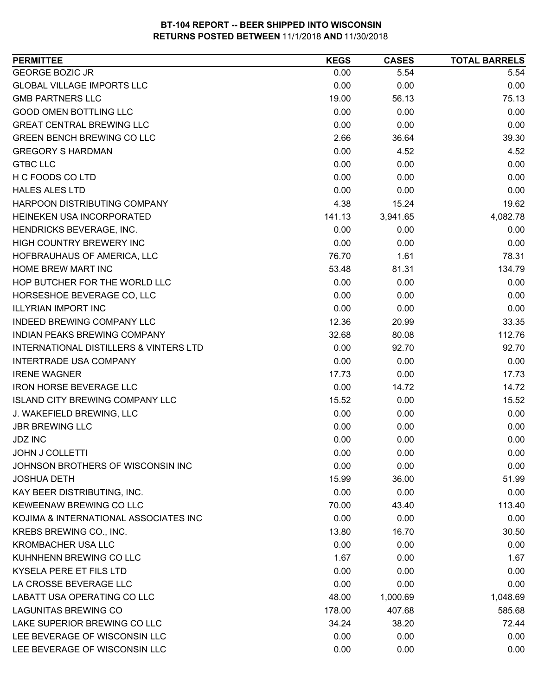| <b>PERMITTEE</b>                                  | <b>KEGS</b> | <b>CASES</b> | <b>TOTAL BARRELS</b> |
|---------------------------------------------------|-------------|--------------|----------------------|
| <b>GEORGE BOZIC JR</b>                            | 0.00        | 5.54         | 5.54                 |
| <b>GLOBAL VILLAGE IMPORTS LLC</b>                 | 0.00        | 0.00         | 0.00                 |
| <b>GMB PARTNERS LLC</b>                           | 19.00       | 56.13        | 75.13                |
| <b>GOOD OMEN BOTTLING LLC</b>                     | 0.00        | 0.00         | 0.00                 |
| <b>GREAT CENTRAL BREWING LLC</b>                  | 0.00        | 0.00         | 0.00                 |
| <b>GREEN BENCH BREWING CO LLC</b>                 | 2.66        | 36.64        | 39.30                |
| <b>GREGORY S HARDMAN</b>                          | 0.00        | 4.52         | 4.52                 |
| <b>GTBC LLC</b>                                   | 0.00        | 0.00         | 0.00                 |
| H C FOODS CO LTD                                  | 0.00        | 0.00         | 0.00                 |
| <b>HALES ALES LTD</b>                             | 0.00        | 0.00         | 0.00                 |
| HARPOON DISTRIBUTING COMPANY                      | 4.38        | 15.24        | 19.62                |
| HEINEKEN USA INCORPORATED                         | 141.13      | 3,941.65     | 4,082.78             |
| HENDRICKS BEVERAGE, INC.                          | 0.00        | 0.00         | 0.00                 |
| HIGH COUNTRY BREWERY INC                          | 0.00        | 0.00         | 0.00                 |
| HOFBRAUHAUS OF AMERICA, LLC                       | 76.70       | 1.61         | 78.31                |
| HOME BREW MART INC                                | 53.48       | 81.31        | 134.79               |
| HOP BUTCHER FOR THE WORLD LLC                     | 0.00        | 0.00         | 0.00                 |
| HORSESHOE BEVERAGE CO, LLC                        | 0.00        | 0.00         | 0.00                 |
| <b>ILLYRIAN IMPORT INC</b>                        | 0.00        | 0.00         | 0.00                 |
| INDEED BREWING COMPANY LLC                        | 12.36       | 20.99        | 33.35                |
| INDIAN PEAKS BREWING COMPANY                      | 32.68       | 80.08        | 112.76               |
| <b>INTERNATIONAL DISTILLERS &amp; VINTERS LTD</b> | 0.00        | 92.70        | 92.70                |
| <b>INTERTRADE USA COMPANY</b>                     | 0.00        | 0.00         | 0.00                 |
| <b>IRENE WAGNER</b>                               | 17.73       | 0.00         | 17.73                |
| <b>IRON HORSE BEVERAGE LLC</b>                    | 0.00        | 14.72        | 14.72                |
| <b>ISLAND CITY BREWING COMPANY LLC</b>            | 15.52       | 0.00         | 15.52                |
| J. WAKEFIELD BREWING, LLC                         | 0.00        | 0.00         | 0.00                 |
| <b>JBR BREWING LLC</b>                            | 0.00        | 0.00         | 0.00                 |
| <b>JDZ INC</b>                                    | 0.00        | 0.00         | 0.00                 |
| <b>JOHN J COLLETTI</b>                            | 0.00        | 0.00         | 0.00                 |
| JOHNSON BROTHERS OF WISCONSIN INC                 | 0.00        | 0.00         | 0.00                 |
| <b>JOSHUA DETH</b>                                | 15.99       | 36.00        | 51.99                |
| KAY BEER DISTRIBUTING, INC.                       | 0.00        | 0.00         | 0.00                 |
| KEWEENAW BREWING CO LLC                           | 70.00       | 43.40        | 113.40               |
| KOJIMA & INTERNATIONAL ASSOCIATES INC             | 0.00        | 0.00         | 0.00                 |
| KREBS BREWING CO., INC.                           | 13.80       | 16.70        | 30.50                |
| <b>KROMBACHER USA LLC</b>                         | 0.00        | 0.00         | 0.00                 |
| KUHNHENN BREWING CO LLC                           | 1.67        | 0.00         | 1.67                 |
| KYSELA PERE ET FILS LTD                           | 0.00        | 0.00         | 0.00                 |
| LA CROSSE BEVERAGE LLC                            | 0.00        | 0.00         | 0.00                 |
| LABATT USA OPERATING CO LLC                       | 48.00       | 1,000.69     | 1,048.69             |
| <b>LAGUNITAS BREWING CO</b>                       | 178.00      | 407.68       | 585.68               |
| LAKE SUPERIOR BREWING CO LLC                      | 34.24       | 38.20        | 72.44                |
| LEE BEVERAGE OF WISCONSIN LLC                     | 0.00        | 0.00         | 0.00                 |
| LEE BEVERAGE OF WISCONSIN LLC                     | 0.00        | 0.00         | 0.00                 |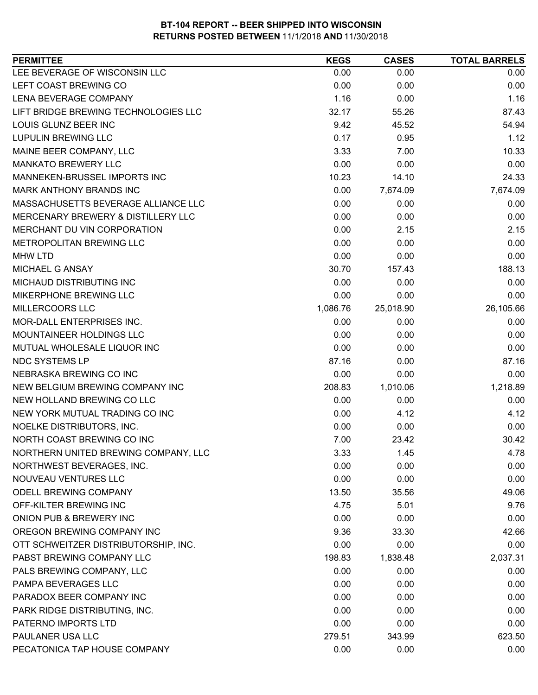| LEE BEVERAGE OF WISCONSIN LLC<br>0.00<br>0.00<br>0.00<br>LEFT COAST BREWING CO<br>0.00<br>0.00<br>0.00<br>LENA BEVERAGE COMPANY<br>1.16<br>1.16<br>0.00<br>LIFT BRIDGE BREWING TECHNOLOGIES LLC<br>32.17<br>55.26<br>87.43<br>LOUIS GLUNZ BEER INC<br>9.42<br>54.94<br>45.52<br><b>LUPULIN BREWING LLC</b><br>0.17<br>1.12<br>0.95<br>MAINE BEER COMPANY, LLC<br>3.33<br>10.33<br>7.00<br><b>MANKATO BREWERY LLC</b><br>0.00<br>0.00<br>0.00<br>MANNEKEN-BRUSSEL IMPORTS INC<br>10.23<br>14.10<br>24.33<br>MARK ANTHONY BRANDS INC<br>0.00<br>7,674.09<br>7,674.09<br>MASSACHUSETTS BEVERAGE ALLIANCE LLC<br>0.00<br>0.00<br>0.00<br>0.00<br>MERCENARY BREWERY & DISTILLERY LLC<br>0.00<br>0.00<br>MERCHANT DU VIN CORPORATION<br>0.00<br>2.15<br>2.15<br>METROPOLITAN BREWING LLC<br>0.00<br>0.00<br>0.00<br>0.00<br>0.00<br><b>MHW LTD</b><br>0.00<br>MICHAEL G ANSAY<br>30.70<br>157.43<br>188.13<br>MICHAUD DISTRIBUTING INC<br>0.00<br>0.00<br>0.00<br>MIKERPHONE BREWING LLC<br>0.00<br>0.00<br>0.00<br>MILLERCOORS LLC<br>25,018.90<br>26,105.66<br>1,086.76<br>MOR-DALL ENTERPRISES INC.<br>0.00<br>0.00<br>0.00<br>MOUNTAINEER HOLDINGS LLC<br>0.00<br>0.00<br>0.00<br>MUTUAL WHOLESALE LIQUOR INC<br>0.00<br>0.00<br>0.00<br><b>NDC SYSTEMS LP</b><br>87.16<br>0.00<br>87.16<br>NEBRASKA BREWING CO INC<br>0.00<br>0.00<br>0.00<br>1,218.89<br>NEW BELGIUM BREWING COMPANY INC<br>208.83<br>1,010.06<br>NEW HOLLAND BREWING CO LLC<br>0.00<br>0.00<br>0.00<br>NEW YORK MUTUAL TRADING CO INC<br>0.00<br>4.12<br>4.12<br>NOELKE DISTRIBUTORS, INC.<br>0.00<br>0.00<br>0.00<br>7.00<br>NORTH COAST BREWING CO INC<br>23.42<br>30.42<br>NORTHERN UNITED BREWING COMPANY, LLC<br>3.33<br>1.45<br>4.78<br>0.00<br>0.00<br>0.00<br>NORTHWEST BEVERAGES, INC.<br>NOUVEAU VENTURES LLC<br>0.00<br>0.00<br>0.00<br>ODELL BREWING COMPANY<br>13.50<br>35.56<br>49.06<br>OFF-KILTER BREWING INC<br>9.76<br>4.75<br>5.01<br>0.00<br>ONION PUB & BREWERY INC<br>0.00<br>0.00<br>OREGON BREWING COMPANY INC<br>9.36<br>42.66<br>33.30<br>OTT SCHWEITZER DISTRIBUTORSHIP, INC.<br>0.00<br>0.00<br>0.00<br>PABST BREWING COMPANY LLC<br>1,838.48<br>2,037.31<br>198.83<br>PALS BREWING COMPANY, LLC<br>0.00<br>0.00<br>0.00<br>PAMPA BEVERAGES LLC<br>0.00<br>0.00<br>0.00<br>PARADOX BEER COMPANY INC<br>0.00<br>0.00<br>0.00<br>PARK RIDGE DISTRIBUTING, INC.<br>0.00<br>0.00<br>0.00<br>PATERNO IMPORTS LTD<br>0.00<br>0.00<br>0.00<br>PAULANER USA LLC<br>279.51<br>623.50<br>343.99<br>PECATONICA TAP HOUSE COMPANY<br>0.00<br>0.00<br>0.00 | <b>PERMITTEE</b> | <b>KEGS</b> | <b>CASES</b> | <b>TOTAL BARRELS</b> |
|--------------------------------------------------------------------------------------------------------------------------------------------------------------------------------------------------------------------------------------------------------------------------------------------------------------------------------------------------------------------------------------------------------------------------------------------------------------------------------------------------------------------------------------------------------------------------------------------------------------------------------------------------------------------------------------------------------------------------------------------------------------------------------------------------------------------------------------------------------------------------------------------------------------------------------------------------------------------------------------------------------------------------------------------------------------------------------------------------------------------------------------------------------------------------------------------------------------------------------------------------------------------------------------------------------------------------------------------------------------------------------------------------------------------------------------------------------------------------------------------------------------------------------------------------------------------------------------------------------------------------------------------------------------------------------------------------------------------------------------------------------------------------------------------------------------------------------------------------------------------------------------------------------------------------------------------------------------------------------------------------------------------------------------------------------------------------------------------------------------------------------------------------------------------------------------------------------------------------------------------------------------------------------------------------------------------------------------------------------------------------------------------------------------------------------------------------------------------------------------------------------------------------------------------|------------------|-------------|--------------|----------------------|
|                                                                                                                                                                                                                                                                                                                                                                                                                                                                                                                                                                                                                                                                                                                                                                                                                                                                                                                                                                                                                                                                                                                                                                                                                                                                                                                                                                                                                                                                                                                                                                                                                                                                                                                                                                                                                                                                                                                                                                                                                                                                                                                                                                                                                                                                                                                                                                                                                                                                                                                                            |                  |             |              |                      |
|                                                                                                                                                                                                                                                                                                                                                                                                                                                                                                                                                                                                                                                                                                                                                                                                                                                                                                                                                                                                                                                                                                                                                                                                                                                                                                                                                                                                                                                                                                                                                                                                                                                                                                                                                                                                                                                                                                                                                                                                                                                                                                                                                                                                                                                                                                                                                                                                                                                                                                                                            |                  |             |              |                      |
|                                                                                                                                                                                                                                                                                                                                                                                                                                                                                                                                                                                                                                                                                                                                                                                                                                                                                                                                                                                                                                                                                                                                                                                                                                                                                                                                                                                                                                                                                                                                                                                                                                                                                                                                                                                                                                                                                                                                                                                                                                                                                                                                                                                                                                                                                                                                                                                                                                                                                                                                            |                  |             |              |                      |
|                                                                                                                                                                                                                                                                                                                                                                                                                                                                                                                                                                                                                                                                                                                                                                                                                                                                                                                                                                                                                                                                                                                                                                                                                                                                                                                                                                                                                                                                                                                                                                                                                                                                                                                                                                                                                                                                                                                                                                                                                                                                                                                                                                                                                                                                                                                                                                                                                                                                                                                                            |                  |             |              |                      |
|                                                                                                                                                                                                                                                                                                                                                                                                                                                                                                                                                                                                                                                                                                                                                                                                                                                                                                                                                                                                                                                                                                                                                                                                                                                                                                                                                                                                                                                                                                                                                                                                                                                                                                                                                                                                                                                                                                                                                                                                                                                                                                                                                                                                                                                                                                                                                                                                                                                                                                                                            |                  |             |              |                      |
|                                                                                                                                                                                                                                                                                                                                                                                                                                                                                                                                                                                                                                                                                                                                                                                                                                                                                                                                                                                                                                                                                                                                                                                                                                                                                                                                                                                                                                                                                                                                                                                                                                                                                                                                                                                                                                                                                                                                                                                                                                                                                                                                                                                                                                                                                                                                                                                                                                                                                                                                            |                  |             |              |                      |
|                                                                                                                                                                                                                                                                                                                                                                                                                                                                                                                                                                                                                                                                                                                                                                                                                                                                                                                                                                                                                                                                                                                                                                                                                                                                                                                                                                                                                                                                                                                                                                                                                                                                                                                                                                                                                                                                                                                                                                                                                                                                                                                                                                                                                                                                                                                                                                                                                                                                                                                                            |                  |             |              |                      |
|                                                                                                                                                                                                                                                                                                                                                                                                                                                                                                                                                                                                                                                                                                                                                                                                                                                                                                                                                                                                                                                                                                                                                                                                                                                                                                                                                                                                                                                                                                                                                                                                                                                                                                                                                                                                                                                                                                                                                                                                                                                                                                                                                                                                                                                                                                                                                                                                                                                                                                                                            |                  |             |              |                      |
|                                                                                                                                                                                                                                                                                                                                                                                                                                                                                                                                                                                                                                                                                                                                                                                                                                                                                                                                                                                                                                                                                                                                                                                                                                                                                                                                                                                                                                                                                                                                                                                                                                                                                                                                                                                                                                                                                                                                                                                                                                                                                                                                                                                                                                                                                                                                                                                                                                                                                                                                            |                  |             |              |                      |
|                                                                                                                                                                                                                                                                                                                                                                                                                                                                                                                                                                                                                                                                                                                                                                                                                                                                                                                                                                                                                                                                                                                                                                                                                                                                                                                                                                                                                                                                                                                                                                                                                                                                                                                                                                                                                                                                                                                                                                                                                                                                                                                                                                                                                                                                                                                                                                                                                                                                                                                                            |                  |             |              |                      |
|                                                                                                                                                                                                                                                                                                                                                                                                                                                                                                                                                                                                                                                                                                                                                                                                                                                                                                                                                                                                                                                                                                                                                                                                                                                                                                                                                                                                                                                                                                                                                                                                                                                                                                                                                                                                                                                                                                                                                                                                                                                                                                                                                                                                                                                                                                                                                                                                                                                                                                                                            |                  |             |              |                      |
|                                                                                                                                                                                                                                                                                                                                                                                                                                                                                                                                                                                                                                                                                                                                                                                                                                                                                                                                                                                                                                                                                                                                                                                                                                                                                                                                                                                                                                                                                                                                                                                                                                                                                                                                                                                                                                                                                                                                                                                                                                                                                                                                                                                                                                                                                                                                                                                                                                                                                                                                            |                  |             |              |                      |
|                                                                                                                                                                                                                                                                                                                                                                                                                                                                                                                                                                                                                                                                                                                                                                                                                                                                                                                                                                                                                                                                                                                                                                                                                                                                                                                                                                                                                                                                                                                                                                                                                                                                                                                                                                                                                                                                                                                                                                                                                                                                                                                                                                                                                                                                                                                                                                                                                                                                                                                                            |                  |             |              |                      |
|                                                                                                                                                                                                                                                                                                                                                                                                                                                                                                                                                                                                                                                                                                                                                                                                                                                                                                                                                                                                                                                                                                                                                                                                                                                                                                                                                                                                                                                                                                                                                                                                                                                                                                                                                                                                                                                                                                                                                                                                                                                                                                                                                                                                                                                                                                                                                                                                                                                                                                                                            |                  |             |              |                      |
|                                                                                                                                                                                                                                                                                                                                                                                                                                                                                                                                                                                                                                                                                                                                                                                                                                                                                                                                                                                                                                                                                                                                                                                                                                                                                                                                                                                                                                                                                                                                                                                                                                                                                                                                                                                                                                                                                                                                                                                                                                                                                                                                                                                                                                                                                                                                                                                                                                                                                                                                            |                  |             |              |                      |
|                                                                                                                                                                                                                                                                                                                                                                                                                                                                                                                                                                                                                                                                                                                                                                                                                                                                                                                                                                                                                                                                                                                                                                                                                                                                                                                                                                                                                                                                                                                                                                                                                                                                                                                                                                                                                                                                                                                                                                                                                                                                                                                                                                                                                                                                                                                                                                                                                                                                                                                                            |                  |             |              |                      |
|                                                                                                                                                                                                                                                                                                                                                                                                                                                                                                                                                                                                                                                                                                                                                                                                                                                                                                                                                                                                                                                                                                                                                                                                                                                                                                                                                                                                                                                                                                                                                                                                                                                                                                                                                                                                                                                                                                                                                                                                                                                                                                                                                                                                                                                                                                                                                                                                                                                                                                                                            |                  |             |              |                      |
|                                                                                                                                                                                                                                                                                                                                                                                                                                                                                                                                                                                                                                                                                                                                                                                                                                                                                                                                                                                                                                                                                                                                                                                                                                                                                                                                                                                                                                                                                                                                                                                                                                                                                                                                                                                                                                                                                                                                                                                                                                                                                                                                                                                                                                                                                                                                                                                                                                                                                                                                            |                  |             |              |                      |
|                                                                                                                                                                                                                                                                                                                                                                                                                                                                                                                                                                                                                                                                                                                                                                                                                                                                                                                                                                                                                                                                                                                                                                                                                                                                                                                                                                                                                                                                                                                                                                                                                                                                                                                                                                                                                                                                                                                                                                                                                                                                                                                                                                                                                                                                                                                                                                                                                                                                                                                                            |                  |             |              |                      |
|                                                                                                                                                                                                                                                                                                                                                                                                                                                                                                                                                                                                                                                                                                                                                                                                                                                                                                                                                                                                                                                                                                                                                                                                                                                                                                                                                                                                                                                                                                                                                                                                                                                                                                                                                                                                                                                                                                                                                                                                                                                                                                                                                                                                                                                                                                                                                                                                                                                                                                                                            |                  |             |              |                      |
|                                                                                                                                                                                                                                                                                                                                                                                                                                                                                                                                                                                                                                                                                                                                                                                                                                                                                                                                                                                                                                                                                                                                                                                                                                                                                                                                                                                                                                                                                                                                                                                                                                                                                                                                                                                                                                                                                                                                                                                                                                                                                                                                                                                                                                                                                                                                                                                                                                                                                                                                            |                  |             |              |                      |
|                                                                                                                                                                                                                                                                                                                                                                                                                                                                                                                                                                                                                                                                                                                                                                                                                                                                                                                                                                                                                                                                                                                                                                                                                                                                                                                                                                                                                                                                                                                                                                                                                                                                                                                                                                                                                                                                                                                                                                                                                                                                                                                                                                                                                                                                                                                                                                                                                                                                                                                                            |                  |             |              |                      |
|                                                                                                                                                                                                                                                                                                                                                                                                                                                                                                                                                                                                                                                                                                                                                                                                                                                                                                                                                                                                                                                                                                                                                                                                                                                                                                                                                                                                                                                                                                                                                                                                                                                                                                                                                                                                                                                                                                                                                                                                                                                                                                                                                                                                                                                                                                                                                                                                                                                                                                                                            |                  |             |              |                      |
|                                                                                                                                                                                                                                                                                                                                                                                                                                                                                                                                                                                                                                                                                                                                                                                                                                                                                                                                                                                                                                                                                                                                                                                                                                                                                                                                                                                                                                                                                                                                                                                                                                                                                                                                                                                                                                                                                                                                                                                                                                                                                                                                                                                                                                                                                                                                                                                                                                                                                                                                            |                  |             |              |                      |
|                                                                                                                                                                                                                                                                                                                                                                                                                                                                                                                                                                                                                                                                                                                                                                                                                                                                                                                                                                                                                                                                                                                                                                                                                                                                                                                                                                                                                                                                                                                                                                                                                                                                                                                                                                                                                                                                                                                                                                                                                                                                                                                                                                                                                                                                                                                                                                                                                                                                                                                                            |                  |             |              |                      |
|                                                                                                                                                                                                                                                                                                                                                                                                                                                                                                                                                                                                                                                                                                                                                                                                                                                                                                                                                                                                                                                                                                                                                                                                                                                                                                                                                                                                                                                                                                                                                                                                                                                                                                                                                                                                                                                                                                                                                                                                                                                                                                                                                                                                                                                                                                                                                                                                                                                                                                                                            |                  |             |              |                      |
|                                                                                                                                                                                                                                                                                                                                                                                                                                                                                                                                                                                                                                                                                                                                                                                                                                                                                                                                                                                                                                                                                                                                                                                                                                                                                                                                                                                                                                                                                                                                                                                                                                                                                                                                                                                                                                                                                                                                                                                                                                                                                                                                                                                                                                                                                                                                                                                                                                                                                                                                            |                  |             |              |                      |
|                                                                                                                                                                                                                                                                                                                                                                                                                                                                                                                                                                                                                                                                                                                                                                                                                                                                                                                                                                                                                                                                                                                                                                                                                                                                                                                                                                                                                                                                                                                                                                                                                                                                                                                                                                                                                                                                                                                                                                                                                                                                                                                                                                                                                                                                                                                                                                                                                                                                                                                                            |                  |             |              |                      |
|                                                                                                                                                                                                                                                                                                                                                                                                                                                                                                                                                                                                                                                                                                                                                                                                                                                                                                                                                                                                                                                                                                                                                                                                                                                                                                                                                                                                                                                                                                                                                                                                                                                                                                                                                                                                                                                                                                                                                                                                                                                                                                                                                                                                                                                                                                                                                                                                                                                                                                                                            |                  |             |              |                      |
|                                                                                                                                                                                                                                                                                                                                                                                                                                                                                                                                                                                                                                                                                                                                                                                                                                                                                                                                                                                                                                                                                                                                                                                                                                                                                                                                                                                                                                                                                                                                                                                                                                                                                                                                                                                                                                                                                                                                                                                                                                                                                                                                                                                                                                                                                                                                                                                                                                                                                                                                            |                  |             |              |                      |
|                                                                                                                                                                                                                                                                                                                                                                                                                                                                                                                                                                                                                                                                                                                                                                                                                                                                                                                                                                                                                                                                                                                                                                                                                                                                                                                                                                                                                                                                                                                                                                                                                                                                                                                                                                                                                                                                                                                                                                                                                                                                                                                                                                                                                                                                                                                                                                                                                                                                                                                                            |                  |             |              |                      |
|                                                                                                                                                                                                                                                                                                                                                                                                                                                                                                                                                                                                                                                                                                                                                                                                                                                                                                                                                                                                                                                                                                                                                                                                                                                                                                                                                                                                                                                                                                                                                                                                                                                                                                                                                                                                                                                                                                                                                                                                                                                                                                                                                                                                                                                                                                                                                                                                                                                                                                                                            |                  |             |              |                      |
|                                                                                                                                                                                                                                                                                                                                                                                                                                                                                                                                                                                                                                                                                                                                                                                                                                                                                                                                                                                                                                                                                                                                                                                                                                                                                                                                                                                                                                                                                                                                                                                                                                                                                                                                                                                                                                                                                                                                                                                                                                                                                                                                                                                                                                                                                                                                                                                                                                                                                                                                            |                  |             |              |                      |
|                                                                                                                                                                                                                                                                                                                                                                                                                                                                                                                                                                                                                                                                                                                                                                                                                                                                                                                                                                                                                                                                                                                                                                                                                                                                                                                                                                                                                                                                                                                                                                                                                                                                                                                                                                                                                                                                                                                                                                                                                                                                                                                                                                                                                                                                                                                                                                                                                                                                                                                                            |                  |             |              |                      |
|                                                                                                                                                                                                                                                                                                                                                                                                                                                                                                                                                                                                                                                                                                                                                                                                                                                                                                                                                                                                                                                                                                                                                                                                                                                                                                                                                                                                                                                                                                                                                                                                                                                                                                                                                                                                                                                                                                                                                                                                                                                                                                                                                                                                                                                                                                                                                                                                                                                                                                                                            |                  |             |              |                      |
|                                                                                                                                                                                                                                                                                                                                                                                                                                                                                                                                                                                                                                                                                                                                                                                                                                                                                                                                                                                                                                                                                                                                                                                                                                                                                                                                                                                                                                                                                                                                                                                                                                                                                                                                                                                                                                                                                                                                                                                                                                                                                                                                                                                                                                                                                                                                                                                                                                                                                                                                            |                  |             |              |                      |
|                                                                                                                                                                                                                                                                                                                                                                                                                                                                                                                                                                                                                                                                                                                                                                                                                                                                                                                                                                                                                                                                                                                                                                                                                                                                                                                                                                                                                                                                                                                                                                                                                                                                                                                                                                                                                                                                                                                                                                                                                                                                                                                                                                                                                                                                                                                                                                                                                                                                                                                                            |                  |             |              |                      |
|                                                                                                                                                                                                                                                                                                                                                                                                                                                                                                                                                                                                                                                                                                                                                                                                                                                                                                                                                                                                                                                                                                                                                                                                                                                                                                                                                                                                                                                                                                                                                                                                                                                                                                                                                                                                                                                                                                                                                                                                                                                                                                                                                                                                                                                                                                                                                                                                                                                                                                                                            |                  |             |              |                      |
|                                                                                                                                                                                                                                                                                                                                                                                                                                                                                                                                                                                                                                                                                                                                                                                                                                                                                                                                                                                                                                                                                                                                                                                                                                                                                                                                                                                                                                                                                                                                                                                                                                                                                                                                                                                                                                                                                                                                                                                                                                                                                                                                                                                                                                                                                                                                                                                                                                                                                                                                            |                  |             |              |                      |
|                                                                                                                                                                                                                                                                                                                                                                                                                                                                                                                                                                                                                                                                                                                                                                                                                                                                                                                                                                                                                                                                                                                                                                                                                                                                                                                                                                                                                                                                                                                                                                                                                                                                                                                                                                                                                                                                                                                                                                                                                                                                                                                                                                                                                                                                                                                                                                                                                                                                                                                                            |                  |             |              |                      |
|                                                                                                                                                                                                                                                                                                                                                                                                                                                                                                                                                                                                                                                                                                                                                                                                                                                                                                                                                                                                                                                                                                                                                                                                                                                                                                                                                                                                                                                                                                                                                                                                                                                                                                                                                                                                                                                                                                                                                                                                                                                                                                                                                                                                                                                                                                                                                                                                                                                                                                                                            |                  |             |              |                      |
|                                                                                                                                                                                                                                                                                                                                                                                                                                                                                                                                                                                                                                                                                                                                                                                                                                                                                                                                                                                                                                                                                                                                                                                                                                                                                                                                                                                                                                                                                                                                                                                                                                                                                                                                                                                                                                                                                                                                                                                                                                                                                                                                                                                                                                                                                                                                                                                                                                                                                                                                            |                  |             |              |                      |
|                                                                                                                                                                                                                                                                                                                                                                                                                                                                                                                                                                                                                                                                                                                                                                                                                                                                                                                                                                                                                                                                                                                                                                                                                                                                                                                                                                                                                                                                                                                                                                                                                                                                                                                                                                                                                                                                                                                                                                                                                                                                                                                                                                                                                                                                                                                                                                                                                                                                                                                                            |                  |             |              |                      |
|                                                                                                                                                                                                                                                                                                                                                                                                                                                                                                                                                                                                                                                                                                                                                                                                                                                                                                                                                                                                                                                                                                                                                                                                                                                                                                                                                                                                                                                                                                                                                                                                                                                                                                                                                                                                                                                                                                                                                                                                                                                                                                                                                                                                                                                                                                                                                                                                                                                                                                                                            |                  |             |              |                      |
|                                                                                                                                                                                                                                                                                                                                                                                                                                                                                                                                                                                                                                                                                                                                                                                                                                                                                                                                                                                                                                                                                                                                                                                                                                                                                                                                                                                                                                                                                                                                                                                                                                                                                                                                                                                                                                                                                                                                                                                                                                                                                                                                                                                                                                                                                                                                                                                                                                                                                                                                            |                  |             |              |                      |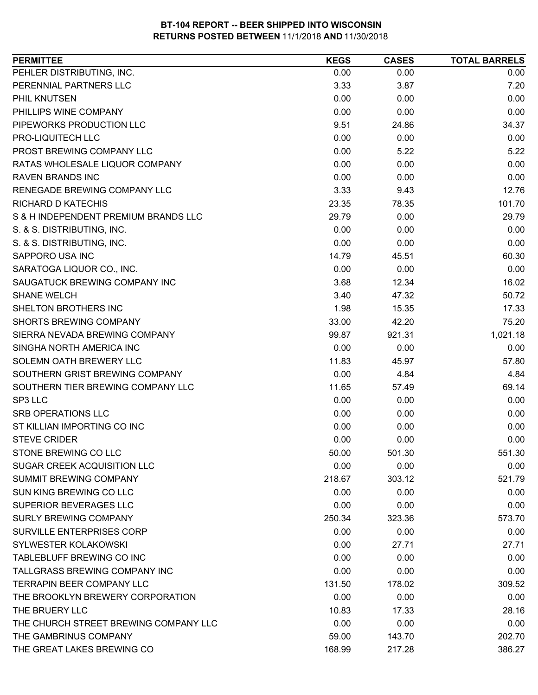| PEHLER DISTRIBUTING, INC.<br>0.00<br>0.00             | 0.00     |
|-------------------------------------------------------|----------|
| PERENNIAL PARTNERS LLC<br>3.33<br>3.87                | 7.20     |
| 0.00<br>PHIL KNUTSEN<br>0.00                          | 0.00     |
| PHILLIPS WINE COMPANY<br>0.00<br>0.00                 | 0.00     |
| PIPEWORKS PRODUCTION LLC<br>9.51<br>24.86             | 34.37    |
| PRO-LIQUITECH LLC<br>0.00<br>0.00                     | 0.00     |
| PROST BREWING COMPANY LLC<br>5.22<br>0.00             | 5.22     |
| RATAS WHOLESALE LIQUOR COMPANY<br>0.00<br>0.00        | 0.00     |
| 0.00<br><b>RAVEN BRANDS INC</b><br>0.00               | 0.00     |
| RENEGADE BREWING COMPANY LLC<br>3.33<br>9.43          | 12.76    |
| <b>RICHARD D KATECHIS</b><br>23.35<br>78.35           | 101.70   |
| S & H INDEPENDENT PREMIUM BRANDS LLC<br>0.00<br>29.79 | 29.79    |
| 0.00<br>0.00<br>S. & S. DISTRIBUTING, INC.            | 0.00     |
| S. & S. DISTRIBUTING, INC.<br>0.00<br>0.00            | 0.00     |
| SAPPORO USA INC<br>14.79<br>45.51                     | 60.30    |
| 0.00<br>0.00<br>SARATOGA LIQUOR CO., INC.             | 0.00     |
| SAUGATUCK BREWING COMPANY INC<br>3.68<br>12.34        | 16.02    |
| <b>SHANE WELCH</b><br>3.40<br>47.32                   | 50.72    |
| 1.98<br>SHELTON BROTHERS INC<br>15.35                 | 17.33    |
| <b>SHORTS BREWING COMPANY</b><br>33.00<br>42.20       | 75.20    |
| 921.31<br>SIERRA NEVADA BREWING COMPANY<br>99.87      | 1,021.18 |
| SINGHA NORTH AMERICA INC<br>0.00<br>0.00              | 0.00     |
| SOLEMN OATH BREWERY LLC<br>11.83<br>45.97             | 57.80    |
| SOUTHERN GRIST BREWING COMPANY<br>0.00<br>4.84        | 4.84     |
| SOUTHERN TIER BREWING COMPANY LLC<br>11.65<br>57.49   | 69.14    |
| SP3 LLC<br>0.00<br>0.00                               | 0.00     |
| 0.00<br><b>SRB OPERATIONS LLC</b><br>0.00             | 0.00     |
| ST KILLIAN IMPORTING CO INC<br>0.00<br>0.00           | 0.00     |
| 0.00<br><b>STEVE CRIDER</b><br>0.00                   | 0.00     |
| STONE BREWING CO LLC<br>50.00<br>501.30               | 551.30   |
| 0.00<br>0.00<br><b>SUGAR CREEK ACQUISITION LLC</b>    | 0.00     |
| <b>SUMMIT BREWING COMPANY</b><br>218.67<br>303.12     | 521.79   |
| SUN KING BREWING CO LLC<br>0.00<br>0.00               | 0.00     |
| SUPERIOR BEVERAGES LLC<br>0.00<br>0.00                | 0.00     |
| <b>SURLY BREWING COMPANY</b><br>250.34<br>323.36      | 573.70   |
| <b>SURVILLE ENTERPRISES CORP</b><br>0.00<br>0.00      | 0.00     |
| SYLWESTER KOLAKOWSKI<br>0.00<br>27.71                 | 27.71    |
| TABLEBLUFF BREWING CO INC<br>0.00<br>0.00             | 0.00     |
| TALLGRASS BREWING COMPANY INC<br>0.00<br>0.00         | 0.00     |
| <b>TERRAPIN BEER COMPANY LLC</b><br>131.50<br>178.02  | 309.52   |
| THE BROOKLYN BREWERY CORPORATION<br>0.00<br>0.00      | 0.00     |
| THE BRUERY LLC<br>10.83<br>17.33                      | 28.16    |
| 0.00<br>THE CHURCH STREET BREWING COMPANY LLC<br>0.00 | 0.00     |
| THE GAMBRINUS COMPANY<br>59.00<br>143.70              | 202.70   |
| THE GREAT LAKES BREWING CO<br>168.99<br>217.28        | 386.27   |